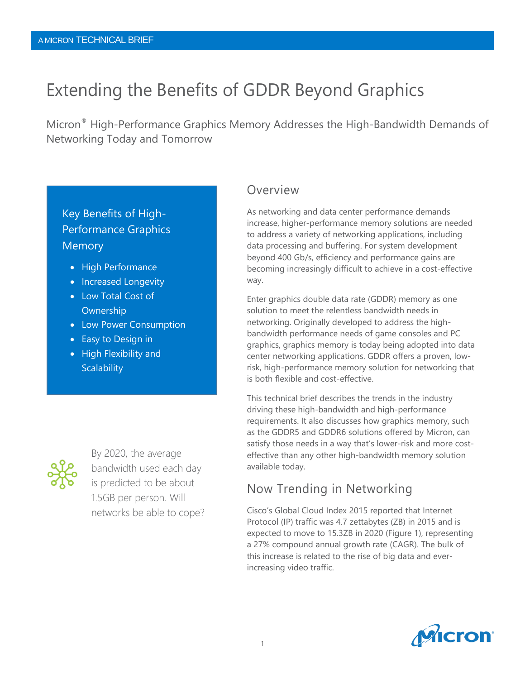# Extending the Benefits of GDDR Beyond Graphics

Micron® High-Performance Graphics Memory Addresses the High-Bandwidth Demands of Networking Today and Tomorrow

## Key Benefits of High-Performance Graphics Memory

- High Performance
- Increased Longevity
- Low Total Cost of Ownership
- Low Power Consumption
- Easy to Design in
- High Flexibility and **Scalability**



By 2020, the average bandwidth used each day is predicted to be about 1.5GB per person. Will networks be able to cope?

## Overview

As networking and data center performance demands increase, higher-performance memory solutions are needed to address a variety of networking applications, including data processing and buffering. For system development beyond 400 Gb/s, efficiency and performance gains are becoming increasingly difficult to achieve in a cost-effective way.

Enter graphics double data rate (GDDR) memory as one solution to meet the relentless bandwidth needs in networking. Originally developed to address the highbandwidth performance needs of game consoles and PC graphics, graphics memory is today being adopted into data center networking applications. GDDR offers a proven, lowrisk, high-performance memory solution for networking that is both flexible and cost-effective.

This technical brief describes the trends in the industry driving these high-bandwidth and high-performance requirements. It also discusses how graphics memory, such as the GDDR5 and GDDR6 solutions offered by Micron, can satisfy those needs in a way that's lower-risk and more costeffective than any other high-bandwidth memory solution available today.

## Now Trending in Networking

Cisco's Global Cloud Index 2015 reported that Internet Protocol (IP) traffic was 4.7 zettabytes (ZB) in 2015 and is expected to move to 15.3ZB in 2020 (Figure 1), representing a 27% compound annual growth rate (CAGR). The bulk of this increase is related to the rise of big data and everincreasing video traffic.

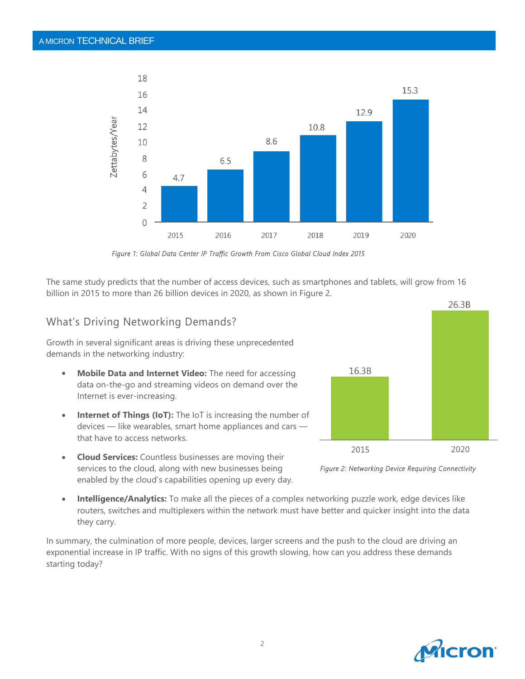

*Figure 1: Global Data Center IP Traffic Growth From Cisco Global Cloud Index 2015* 

The same study predicts that the number of access devices, such as smartphones and tablets, will grow from 16 billion in 2015 to more than 26 billion devices in 2020, as shown in Figure 2.

### What's Driving Networking Demands?

Growth in several significant areas is driving these unprecedented demands in the networking industry:

- **Mobile Data and Internet Video:** The need for accessing data on-the-go and streaming videos on demand over the Internet is ever-increasing.
- **Internet of Things (IoT):** The IoT is increasing the number of devices — like wearables, smart home appliances and cars that have to access networks.
- **Cloud Services:** Countless businesses are moving their services to the cloud, along with new businesses being enabled by the cloud's capabilities opening up every day.
- **Intelligence/Analytics:** To make all the pieces of a complex networking puzzle work, edge devices like routers, switches and multiplexers within the network must have better and quicker insight into the data they carry.

In summary, the culmination of more people, devices, larger screens and the push to the cloud are driving an exponential increase in IP traffic. With no signs of this growth slowing, how can you address these demands starting today?





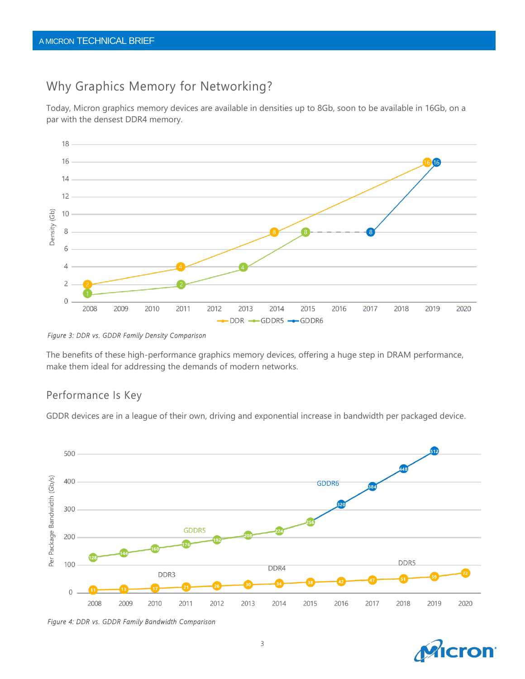## Why Graphics Memory for Networking?

Today, Micron graphics memory devices are available in densities up to 8Gb, soon to be available in 16Gb, on a par with the densest DDR4 memory.



*Figure 3: DDR vs. GDDR Family Density Comparison* 

The benefits of these high-performance graphics memory devices, offering a huge step in DRAM performance, make them ideal for addressing the demands of modern networks.

## Performance Is Key

GDDR devices are in a league of their own, driving and exponential increase in bandwidth per packaged device.



*Figure 4: DDR vs. GDDR Family Bandwidth Comparison* 

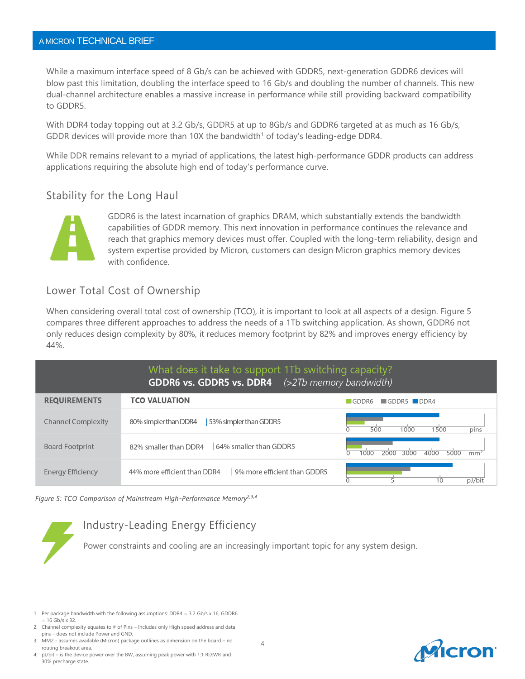### A MICRON TECHNICAL BRIEF

While a maximum interface speed of 8 Gb/s can be achieved with GDDR5, next-generation GDDR6 devices will blow past this limitation, doubling the interface speed to 16 Gb/s and doubling the number of channels. This new dual-channel architecture enables a massive increase in performance while still providing backward compatibility to GDDR5.

With DDR4 today topping out at 3.2 Gb/s, GDDR5 at up to 8Gb/s and GDDR6 targeted at as much as 16 Gb/s, GDDR devices will provide more than 10X the bandwidth<sup>1</sup> of today's leading-edge DDR4.

While DDR remains relevant to a myriad of applications, the latest high-performance GDDR products can address applications requiring the absolute high end of today's performance curve.

### Stability for the Long Haul



GDDR6 is the latest incarnation of graphics DRAM, which substantially extends the bandwidth capabilities of GDDR memory. This next innovation in performance continues the relevance and reach that graphics memory devices must offer. Coupled with the long-term reliability, design and system expertise provided by Micron, customers can design Micron graphics memory devices with confidence.

## Lower Total Cost of Ownership

When considering overall total cost of ownership (TCO), it is important to look at all aspects of a design. Figure 5 compares three different approaches to address the needs of a 1Tb switching application. As shown, GDDR6 not only reduces design complexity by 80%, it reduces memory footprint by 82% and improves energy efficiency by 44%.

| What does it take to support 1Tb switching capacity?<br>GDDR6 vs. GDDR5 vs. DDR4 (>2Tb memory bandwidth) |                                                              |                                                          |
|----------------------------------------------------------------------------------------------------------|--------------------------------------------------------------|----------------------------------------------------------|
| <b>REQUIREMENTS</b>                                                                                      | <b>TCO VALUATION</b>                                         | $\blacksquare$ GDDR5 $\blacksquare$ DDR4<br><b>GDDR6</b> |
| <b>Channel Complexity</b>                                                                                | 53% simpler than GDDR5<br>80% simpler than DDR4              | pins<br>500<br>1000<br>1500                              |
| <b>Board Footprint</b>                                                                                   | 64% smaller than GDDR5<br>82% smaller than DDR4              | 4000<br>5000<br>1000<br>2000<br>3000<br>mm <sup>2</sup>  |
| <b>Energy Efficiency</b>                                                                                 | 9% more efficient than GDDR5<br>44% more efficient than DDR4 | 5<br>10<br>pJ/bit                                        |

#### Figure 5: TCO Comparison of Mainstream High-Performance Memory<sup>2,3,4</sup>

## Industry-Leading Energy Efficiency

Power constraints and cooling are an increasingly important topic for any system design.

- 2. Channel complexity equates to # of Pins Includes only High speed address and data pins – does not include Power and GND.
- MM2 assumes available (Micron) package outlines as dimension on the board no routing breakout area.
- 4. pJ/bit is the device power over the BW, assuming peak power with 1:1 RD:WR and 30% precharge state.



4

<sup>1.</sup> Per package bandwidth with the following assumptions: DDR4 = 3.2 Gb/s x 16, GDDR6  $= 16$  Gb/s  $\times$  32.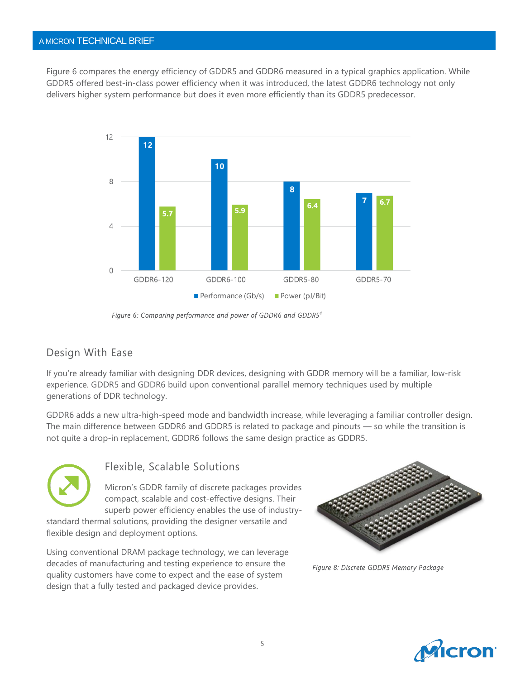### A MICRON TECHNICAL BRIEF

Figure 6 compares the energy efficiency of GDDR5 and GDDR6 measured in a typical graphics application. While GDDR5 offered best-in-class power efficiency when it was introduced, the latest GDDR6 technology not only delivers higher system performance but does it even more efficiently than its GDDR5 predecessor.



*Figure 6: Comparing performance and power of GDDR6 and GDDR5<sup>4</sup>* 

## Design With Ease

If you're already familiar with designing DDR devices, designing with GDDR memory will be a familiar, low-risk experience. GDDR5 and GDDR6 build upon conventional parallel memory techniques used by multiple generations of DDR technology.

GDDR6 adds a new ultra-high-speed mode and bandwidth increase, while leveraging a familiar controller design. The main difference between GDDR6 and GDDR5 is related to package and pinouts — so while the transition is not quite a drop-in replacement, GDDR6 follows the same design practice as GDDR5.



## Flexible, Scalable Solutions

Micron's GDDR family of discrete packages provides compact, scalable and cost-effective designs. Their superb power efficiency enables the use of industry-

standard thermal solutions, providing the designer versatile and flexible design and deployment options.

Using conventional DRAM package technology, we can leverage decades of manufacturing and testing experience to ensure the quality customers have come to expect and the ease of system design that a fully tested and packaged device provides.



*Figure 8: Discrete GDDR5 Memory Package* 

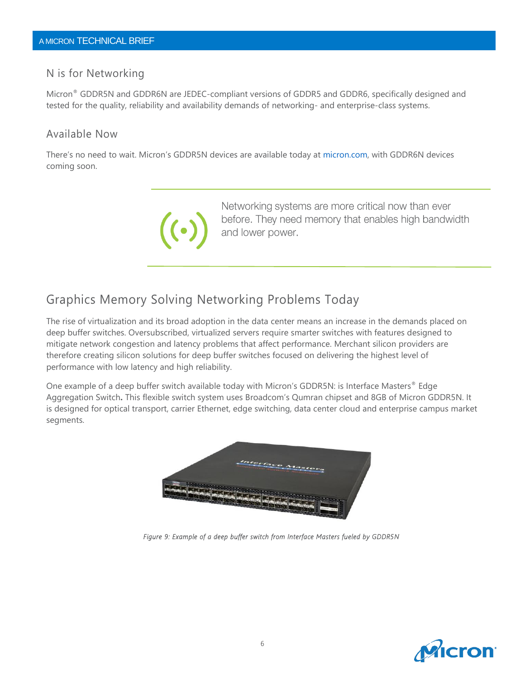### N is for Networking

Micron® GDDR5N and GDDR6N are JEDEC-compliant versions of GDDR5 and GDDR6, specifically designed and tested for the quality, reliability and availability demands of networking- and enterprise-class systems.

### Available Now

There's no need to wait. Micron's GDDR5N devices are available today at [micron.com,](file:///C:/Users/cmcgowan/AppData/Local/Microsoft/Windows/Temporary%20Internet%20Files/Content.Outlook/BPL5VJ0B/micron.com) with GDDR6N devices coming soon.



Networking systems are more critical now than ever before. They need memory that enables high bandwidth and lower power.

## Graphics Memory Solving Networking Problems Today

The rise of virtualization and its broad adoption in the data center means an increase in the demands placed on deep buffer switches. Oversubscribed, virtualized servers require smarter switches with features designed to mitigate network congestion and latency problems that affect performance. Merchant silicon providers are therefore creating silicon solutions for deep buffer switches focused on delivering the highest level of performance with low latency and high reliability.

One example of a deep buffer switch available today with Micron's GDDR5N: is Interface Masters® Edge Aggregation Switch**.** This flexible switch system uses Broadcom's Qumran chipset and 8GB of Micron GDDR5N. It is designed for optical transport, carrier Ethernet, edge switching, data center cloud and enterprise campus market segments.



*Figure 9: Example of a deep buffer switch from Interface Masters fueled by GDDR5N*